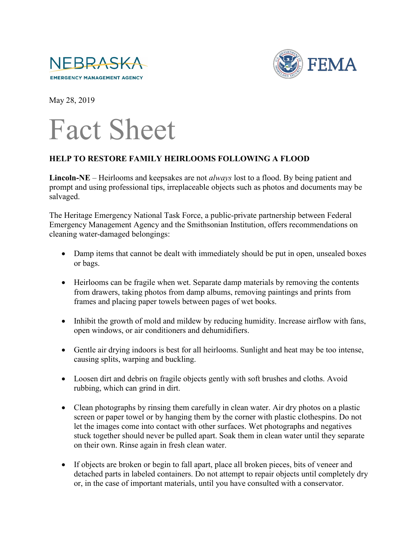



May 28, 2019



## **HELP TO RESTORE FAMILY HEIRLOOMS FOLLOWING A FLOOD**

**Lincoln-NE** – Heirlooms and keepsakes are not *always* lost to a flood. By being patient and prompt and using professional tips, irreplaceable objects such as photos and documents may be salvaged.

The Heritage Emergency National Task Force, a public-private partnership between Federal Emergency Management Agency and the Smithsonian Institution, offers recommendations on cleaning water-damaged belongings:

- Damp items that cannot be dealt with immediately should be put in open, unsealed boxes or bags.
- Heirlooms can be fragile when wet. Separate damp materials by removing the contents from drawers, taking photos from damp albums, removing paintings and prints from frames and placing paper towels between pages of wet books.
- Inhibit the growth of mold and mildew by reducing humidity. Increase airflow with fans, open windows, or air conditioners and dehumidifiers.
- Gentle air drying indoors is best for all heirlooms. Sunlight and heat may be too intense, causing splits, warping and buckling.
- Loosen dirt and debris on fragile objects gently with soft brushes and cloths. Avoid rubbing, which can grind in dirt.
- Clean photographs by rinsing them carefully in clean water. Air dry photos on a plastic screen or paper towel or by hanging them by the corner with plastic clothespins. Do not let the images come into contact with other surfaces. Wet photographs and negatives stuck together should never be pulled apart. Soak them in clean water until they separate on their own. Rinse again in fresh clean water.
- If objects are broken or begin to fall apart, place all broken pieces, bits of veneer and detached parts in labeled containers. Do not attempt to repair objects until completely dry or, in the case of important materials, until you have consulted with a conservator.